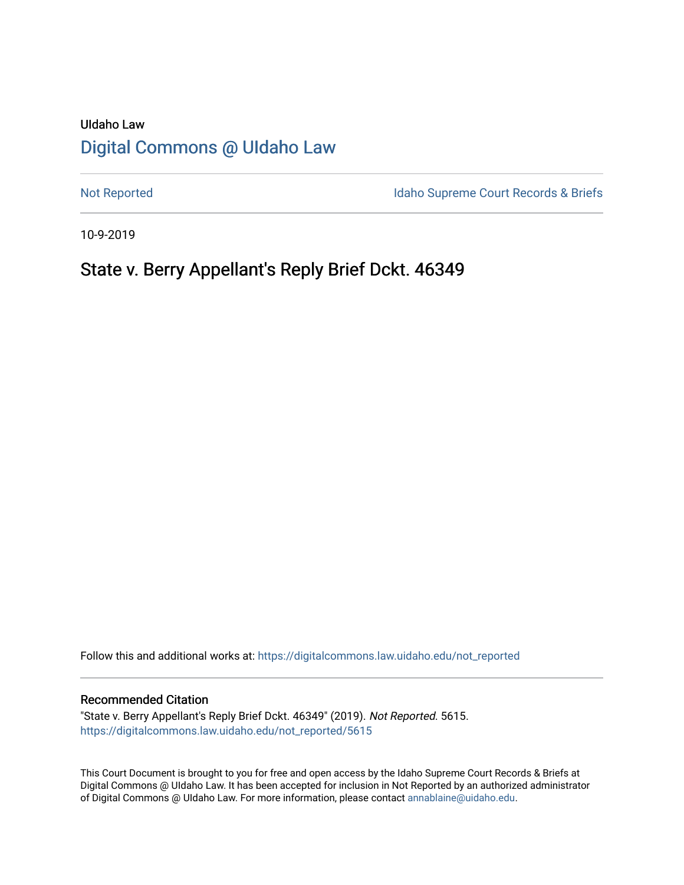# UIdaho Law [Digital Commons @ UIdaho Law](https://digitalcommons.law.uidaho.edu/)

[Not Reported](https://digitalcommons.law.uidaho.edu/not_reported) **Idaho Supreme Court Records & Briefs** 

10-9-2019

# State v. Berry Appellant's Reply Brief Dckt. 46349

Follow this and additional works at: [https://digitalcommons.law.uidaho.edu/not\\_reported](https://digitalcommons.law.uidaho.edu/not_reported?utm_source=digitalcommons.law.uidaho.edu%2Fnot_reported%2F5615&utm_medium=PDF&utm_campaign=PDFCoverPages) 

#### Recommended Citation

"State v. Berry Appellant's Reply Brief Dckt. 46349" (2019). Not Reported. 5615. [https://digitalcommons.law.uidaho.edu/not\\_reported/5615](https://digitalcommons.law.uidaho.edu/not_reported/5615?utm_source=digitalcommons.law.uidaho.edu%2Fnot_reported%2F5615&utm_medium=PDF&utm_campaign=PDFCoverPages)

This Court Document is brought to you for free and open access by the Idaho Supreme Court Records & Briefs at Digital Commons @ UIdaho Law. It has been accepted for inclusion in Not Reported by an authorized administrator of Digital Commons @ UIdaho Law. For more information, please contact [annablaine@uidaho.edu](mailto:annablaine@uidaho.edu).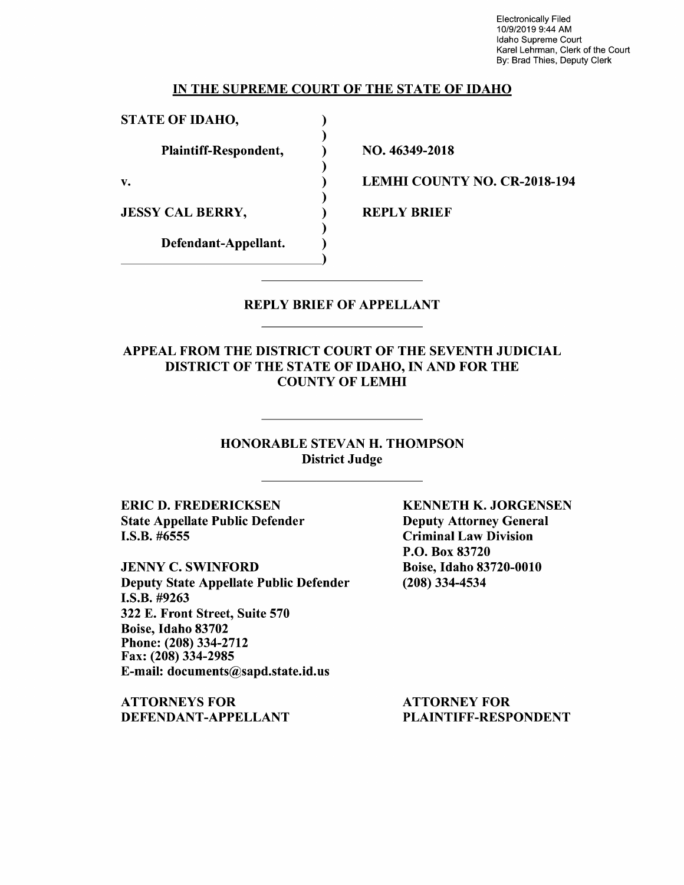Electronically Filed 10/9/2019 9:44 AM Idaho Supreme Court Karel Lehrman, Clerk of the Court By: Brad Thies, Deputy Clerk

### IN THE SUPREME COURT OF THE STATE OF IDAHO

) ) ) ) ) ) ) ) )

STATE OF IDAHO,

Plaintiff-Respondent,

v.

JESSY CAL BERRY,

Defendant-Appellant.

NO. 46349-2018

LEMHI COUNTY NO. CR-2018-194

REPLY BRIEF

### REPLY BRIEF OF APPELLANT

APPEAL FROM THE DISTRICT COURT OF THE SEVENTH JUDICIAL DISTRICT OF THE STATE OF IDAHO, IN AND FOR THE COUNTY OF LEMHI

> HONORABLE STEVAN H. THOMPSON District Judge

ERIC D. FREDERICKSEN State Appellate Public Defender I.S.B. #6555

JENNY C. SWINFORD Deputy State Appellate Public Defender **I.S.B.** #9263 322 E. Front Street, Suite 570 Boise, Idaho 83702 Phone:(208)334-2712 Fax: (208) 334-2985 E-mail: documents@sapd.state.id.us

**ATTORNEYS FOR DEFENDANT-APPELLANT**  **KENNETH K. JORGENSEN**  Deputy Attorney General Criminal Law Division P.O. Box 83720 Boise, Idaho 83720-0010 (208) 334-4534

ATTORNEY FOR PLAINTIFF-RESPONDENT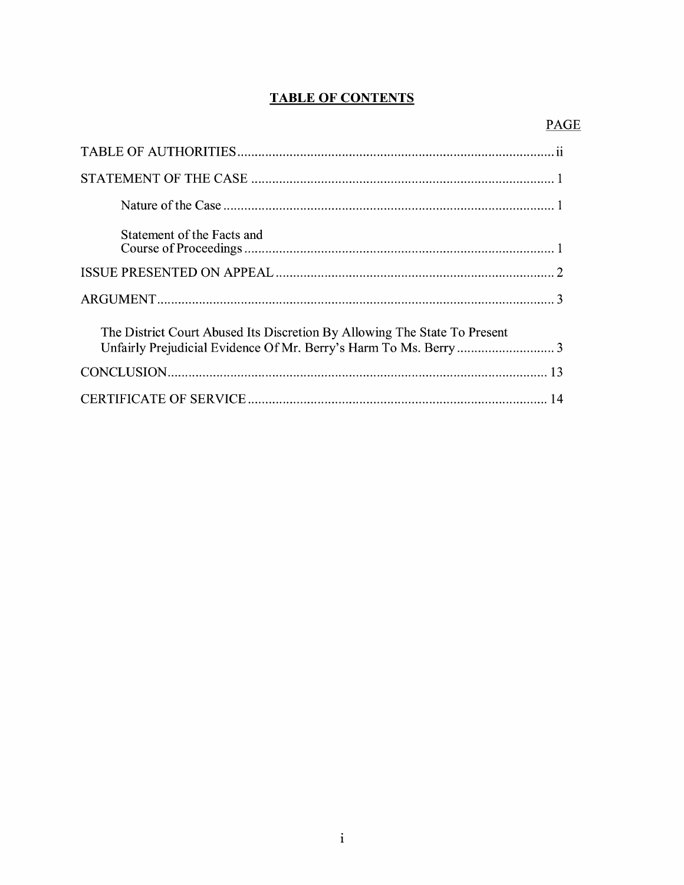## **TABLE OF CONTENTS**

| Statement of the Facts and                                                |
|---------------------------------------------------------------------------|
|                                                                           |
|                                                                           |
| The District Court Abused Its Discretion By Allowing The State To Present |
|                                                                           |
|                                                                           |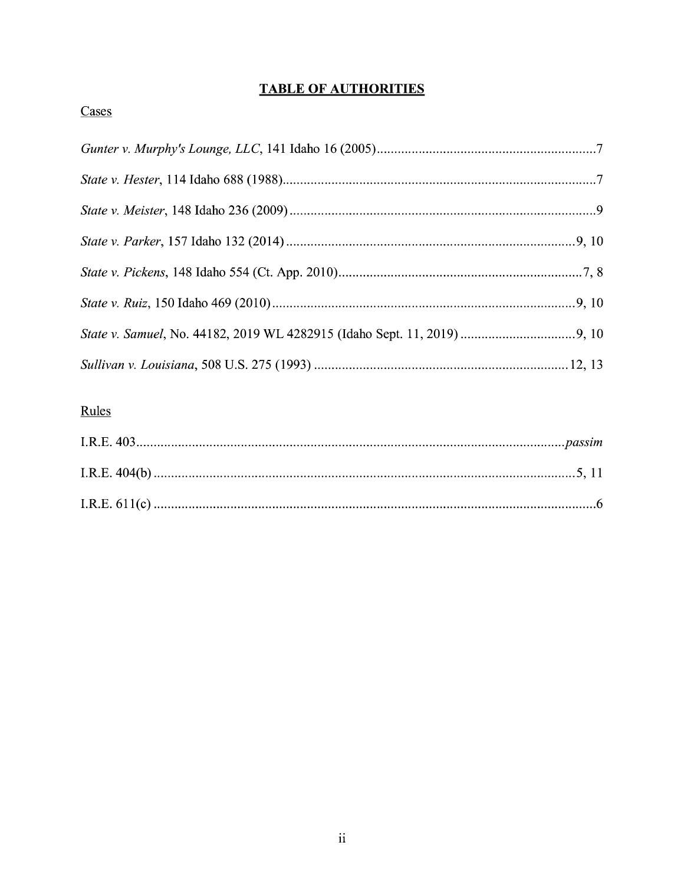## **TABLE OF AUTHORITIES**

## Cases

# Rules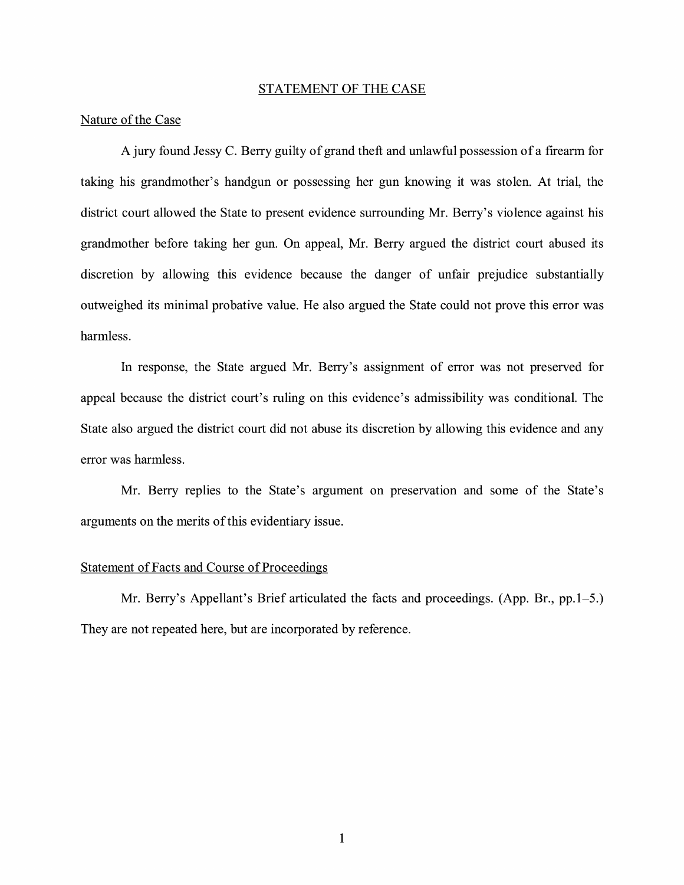#### STATEMENT OF THE CASE

### Nature of the Case

A jury found Jessy C. Berry guilty of grand theft and unlawful possession of a firearm for taking his grandmother's handgun or possessing her gun knowing it was stolen. At trial, the district court allowed the State to present evidence surrounding Mr. Berry's violence against his grandmother before taking her gun. On appeal, Mr. Berry argued the district court abused its discretion by allowing this evidence because the danger of unfair prejudice substantially outweighed its minimal probative value. He also argued the State could not prove this error was harmless.

In response, the State argued Mr. Berry's assignment of error was not preserved for appeal because the district court's ruling on this evidence's admissibility was conditional. The State also argued the district court did not abuse its discretion by allowing this evidence and any error was harmless.

Mr. Berry replies to the State's argument on preservation and some of the State's arguments on the merits of this evidentiary issue.

#### Statement of Facts and Course of Proceedings

Mr. Berry's Appellant's Brief articulated the facts and proceedings. (App. Br., pp.1-5.) They are not repeated here, but are incorporated by reference.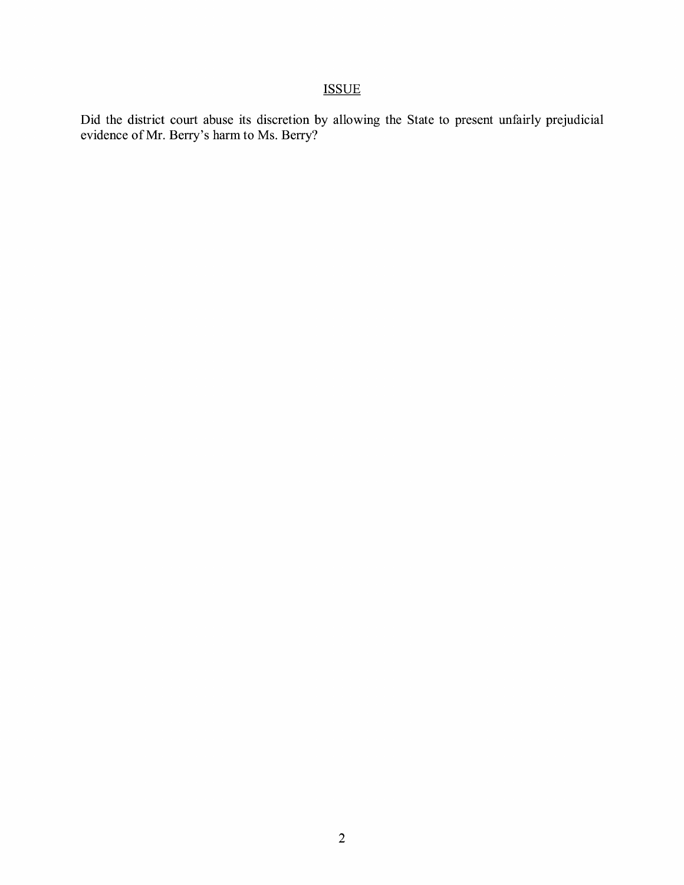# ISSUE

Did the district court abuse its discretion by allowing the State to present unfairly prejudicial evidence of Mr. Berry's harm to Ms. Berry?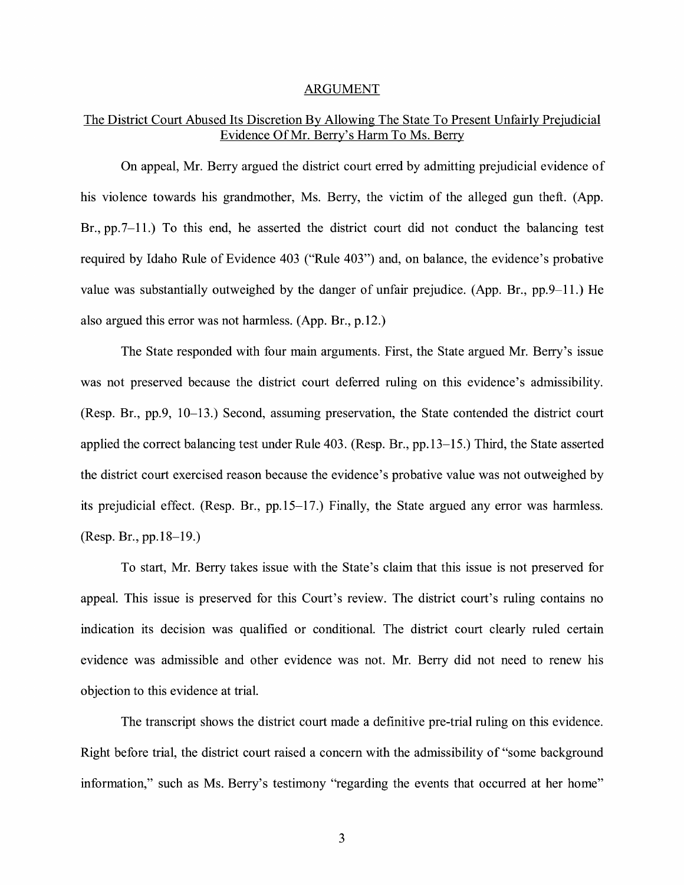#### ARGUMENT

### The District Court Abused Its Discretion By Allowing The State To Present Unfairly Prejudicial Evidence Of Mr. Berry's Harm To Ms. Berry

On appeal, Mr. Berry argued the district court erred by admitting prejudicial evidence of his violence towards his grandmother, Ms. Berry, the victim of the alleged gun theft. (App. Br., pp.7-11.) To this end, he asserted the district court did not conduct the balancing test required by Idaho Rule of Evidence 403 ("Rule 403") and, on balance, the evidence's probative value was substantially outweighed by the danger of unfair prejudice. (App. Br., pp.9-11.) He also argued this error was not harmless. (App. Br., p.12.)

The State responded with four main arguments. First, the State argued Mr. Berry's issue was not preserved because the district court deferred ruling on this evidence's admissibility. (Resp. Br., pp.9, 10-13.) Second, assuming preservation, the State contended the district court applied the correct balancing test under Rule 403. (Resp. Br., pp.13-15.) Third, the State asserted the district court exercised reason because the evidence's probative value was not outweighed by its prejudicial effect. (Resp. Br., pp.15-17.) Finally, the State argued any error was harmless. (Resp. Br., pp.18-19.)

To start, Mr. Berry takes issue with the State's claim that this issue is not preserved for appeal. This issue is preserved for this Court's review. The district court's ruling contains no indication its decision was qualified or conditional. The district court clearly ruled certain evidence was admissible and other evidence was not. Mr. Berry did not need to renew his objection to this evidence at trial.

The transcript shows the district court made a definitive pre-trial ruling on this evidence. Right before trial, the district court raised a concern with the admissibility of "some background information," such as Ms. Berry's testimony "regarding the events that occurred at her home"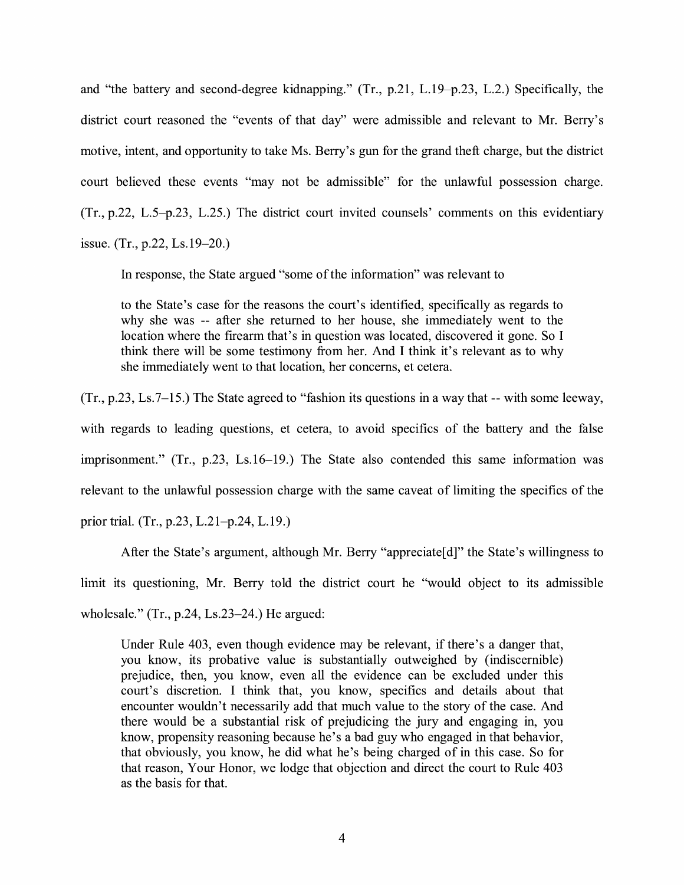and "the battery and second-degree kidnapping." (Tr., p.21, L.19-p.23, L.2.) Specifically, the district court reasoned the "events of that day" were admissible and relevant to Mr. Berry's motive, intent, and opportunity to take Ms. Berry's gun for the grand theft charge, but the district court believed these events "may not be admissible" for the unlawful possession charge. (Tr., p.22, L.5-p.23, L.25.) The district court invited counsels' comments on this evidentiary issue. (Tr., p.22, Ls.19-20.)

In response, the State argued "some of the information" was relevant to

to the State's case for the reasons the court's identified, specifically as regards to why she was -- after she returned to her house, she immediately went to the location where the firearm that's in question was located, discovered it gone. So I think there will be some testimony from her. And I think it's relevant as to why she immediately went to that location, her concerns, et cetera.

(Tr., p.23, Ls.7-15.) The State agreed to "fashion its questions in a way that -- with some leeway, with regards to leading questions, et cetera, to avoid specifics of the battery and the false imprisonment." (Tr., p.23, Ls.16-19.) The State also contended this same information was relevant to the unlawful possession charge with the same caveat of limiting the specifics of the prior trial. (Tr., p.23, L.21-p.24, L.19.)

After the State's argument, although Mr. Berry "appreciate[d]" the State's willingness to limit its questioning, Mr. Berry told the district court he ''would object to its admissible wholesale." (Tr., p.24, Ls.23-24.) He argued:

Under Rule 403, even though evidence may be relevant, if there's a danger that, you know, its probative value is substantially outweighed by (indiscernible) prejudice, then, you know, even all the evidence can be excluded under this court's discretion. I think that, you know, specifics and details about that encounter wouldn't necessarily add that much value to the story of the case. And there would be a substantial risk of prejudicing the jury and engaging in, you know, propensity reasoning because he's a bad guy who engaged in that behavior, that obviously, you know, he did what he's being charged of in this case. So for that reason, Your Honor, we lodge that objection and direct the court to Rule 403 as the basis for that.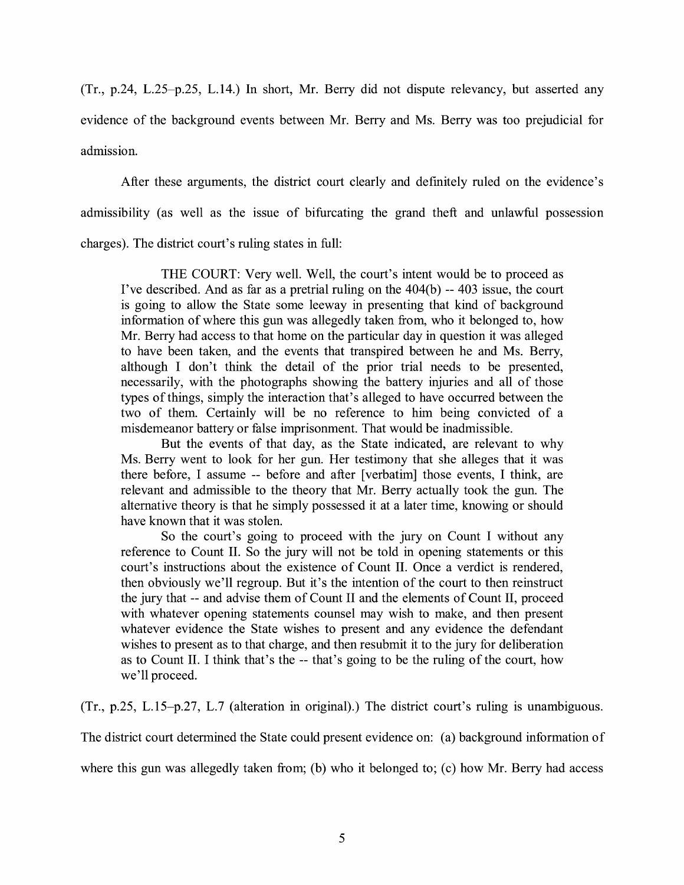(Tr., p.24, L.25-p.25, L.14.) In short, Mr. Berry did not dispute relevancy, but asserted any evidence of the background events between Mr. Berry and Ms. Berry was too prejudicial for admission.

After these arguments, the district court clearly and definitely ruled on the evidence's admissibility (as well as the issue of bifurcating the grand theft and unlawful possession charges). The district court's ruling states in full:

THE COURT: Very well. Well, the court's intent would be to proceed as I've described. And as far as a pretrial ruling on the 404(b) -- 403 issue, the court is going to allow the State some leeway in presenting that kind of background information of where this gun was allegedly taken from, who it belonged to, how Mr. Berry had access to that home on the particular day in question it was alleged to have been taken, and the events that transpired between he and Ms. Berry, although I don't think the detail of the prior trial needs to be presented, necessarily, with the photographs showing the battery injuries and all of those types of things, simply the interaction that's alleged to have occurred between the two of them. Certainly will be no reference to him being convicted of a misdemeanor battery or false imprisonment. That would be inadmissible.

But the events of that day, as the State indicated, are relevant to why Ms. Berry went to look for her gun. Her testimony that she alleges that it was there before, I assume -- before and after [verbatim] those events, I think, are relevant and admissible to the theory that Mr. Berry actually took the gun. The alternative theory is that he simply possessed it at a later time, knowing or should have known that it was stolen.

So the court's going to proceed with the jury on Count I without any reference to Count II. So the jury will not be told in opening statements or this court's instructions about the existence of Count II. Once a verdict is rendered, then obviously we'll regroup. But it's the intention of the court to then reinstruct the jury that -- and advise them of Count II and the elements of Count II, proceed with whatever opening statements counsel may wish to make, and then present whatever evidence the State wishes to present and any evidence the defendant wishes to present as to that charge, and then resubmit it to the jury for deliberation as to Count II. I think that's the -- that's going to be the ruling of the court, how we'll proceed.

(Tr., p.25, L.15-p.27, L.7 (alteration in original).) The district court's ruling is unambiguous.

The district court determined the State could present evidence on: (a) background information of

where this gun was allegedly taken from; (b) who it belonged to; (c) how Mr. Berry had access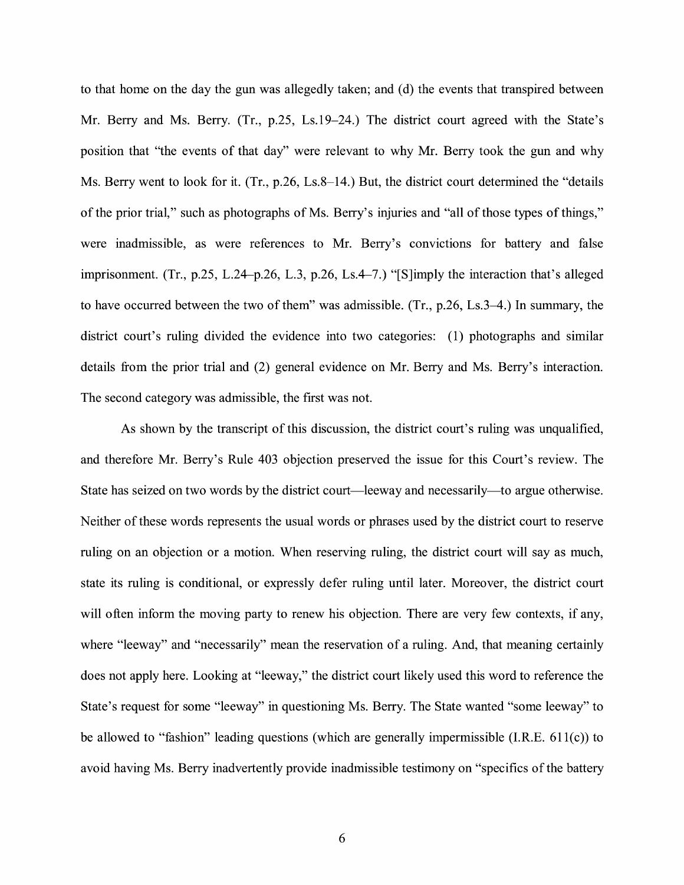to that home on the day the gun was allegedly taken; and (d) the events that transpired between Mr. Berry and Ms. Berry. (Tr., p.25, Ls.19-24.) The district court agreed with the State's position that "the events of that day" were relevant to why Mr. Berry took the gun and why Ms. Berry went to look for it. (Tr., p.26, Ls.8–14.) But, the district court determined the "details" of the prior trial," such as photographs of Ms. Berry's injuries and "all of those types of things," were inadmissible, as were references to Mr. Berry's convictions for battery and false imprisonment. (Tr., p.25, L.24-p.26, L.3, p.26, Ls.4-7.) "[S]imply the interaction that's alleged to have occurred between the two of them" was admissible. (Tr., p.26, Ls.3-4.) In summary, the district court's ruling divided the evidence into two categories: (1) photographs and similar details from the prior trial and (2) general evidence on Mr. Berry and Ms. Berry's interaction. The second category was admissible, the first was not.

As shown by the transcript of this discussion, the district court's ruling was unqualified, and therefore Mr. Berry's Rule 403 objection preserved the issue for this Court's review. The State has seized on two words by the district court—leeway and necessarily—to argue otherwise. Neither of these words represents the usual words or phrases used by the district court to reserve ruling on an objection or a motion. When reserving ruling, the district court will say as much, state its ruling is conditional, or expressly defer ruling until later. Moreover, the district court will often inform the moving party to renew his objection. There are very few contexts, if any, where "leeway" and "necessarily" mean the reservation of a ruling. And, that meaning certainly does not apply here. Looking at "leeway," the district court likely used this word to reference the State's request for some "leeway" in questioning Ms. Berry. The State wanted "some leeway" to be allowed to "fashion" leading questions (which are generally impermissible (I.R.E. 611(c)) to avoid having Ms. Berry inadvertently provide inadmissible testimony on "specifics of the battery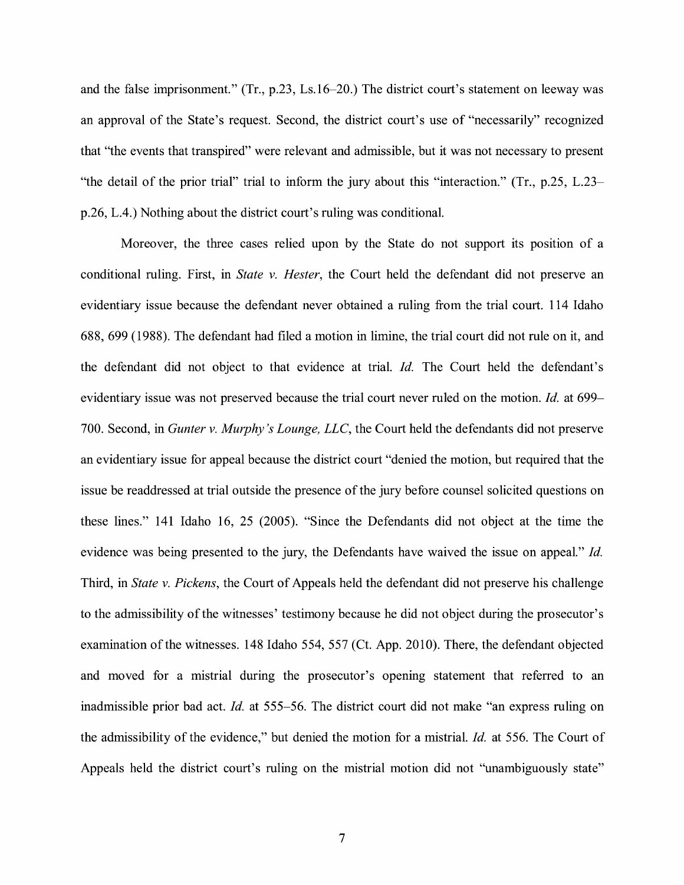and the false imprisonment." (Tr., p.23, Ls.16-20.) The district court's statement on leeway was an approval of the State's request. Second, the district court's use of "necessarily" recognized that "the events that transpired" were relevant and admissible, but it was not necessary to present "the detail of the prior trial" trial to inform the jury about this "interaction." (Tr., p.25, L.23 p.26, L.4.) Nothing about the district court's ruling was conditional.

Moreover, the three cases relied upon by the State do not support its position of a conditional ruling. First, in *State v. Hester,* the Court held the defendant did not preserve an evidentiary issue because the defendant never obtained a ruling from the trial court. 114 Idaho 688, 699 ( 1988). The defendant had filed a motion in limine, the trial court did not rule on it, and the defendant did not object to that evidence at trial. *Id.* The Court held the defendant's evidentiary issue was not preserved because the trial court never ruled on the motion. *Id.* at 699- 700. Second, in *Gunter v. Murphy's Lounge, LLC,* the Court held the defendants did not preserve an evidentiary issue for appeal because the district court "denied the motion, but required that the issue be readdressed at trial outside the presence of the jury before counsel solicited questions on these lines." 141 Idaho 16, 25 (2005). "Since the Defendants did not object at the time the evidence was being presented to the jury, the Defendants have waived the issue on appeal." *Id.*  Third, in *State v. Pickens,* the Court of Appeals held the defendant did not preserve his challenge to the admissibility of the witnesses' testimony because he did not object during the prosecutor's examination of the witnesses. 148 Idaho 554, 557 (Ct. App. 2010). There, the defendant objected and moved for a mistrial during the prosecutor's opening statement that referred to an inadmissible prior bad act. *Id.* at 555-56. The district court did not make "an express ruling on the admissibility of the evidence," but denied the motion for a mistrial. *Id.* at 556. The Court of Appeals held the district court's ruling on the mistrial motion did not "unambiguously state"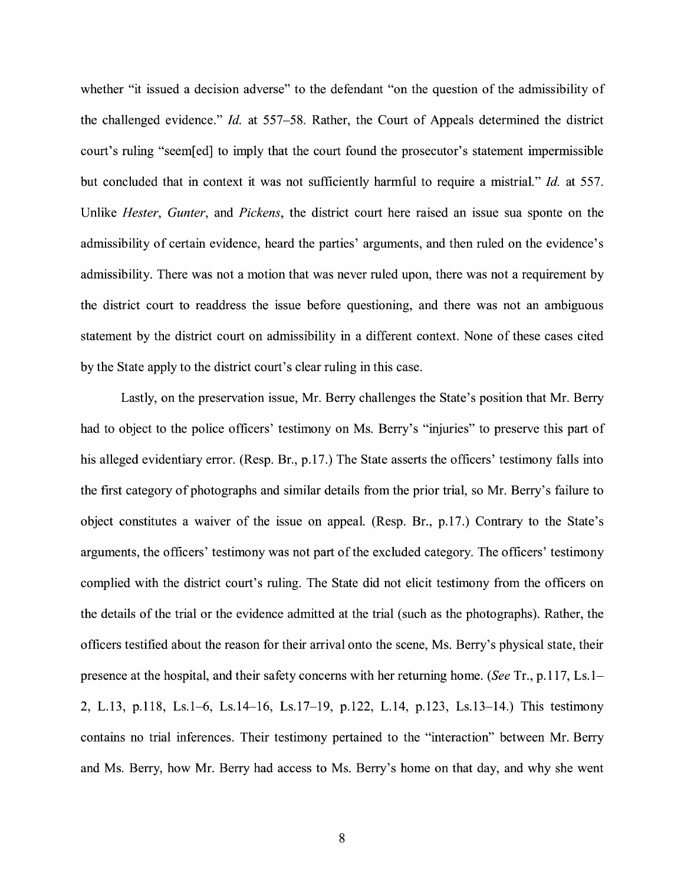whether "it issued a decision adverse" to the defendant "on the question of the admissibility of the challenged evidence." *Id.* at 557-58. Rather, the Court of Appeals determined the district court's ruling "seem[ed] to imply that the court found the prosecutor's statement impermissible but concluded that in context it was not sufficiently harmful to require a mistrial." *Id.* at 557. Unlike *Hester, Gunter,* and *Pickens,* the district court here raised an issue sua sponte on the admissibility of certain evidence, heard the parties' arguments, and then ruled on the evidence's admissibility. There was not a motion that was never ruled upon, there was not a requirement by the district court to readdress the issue before questioning, and there was not an ambiguous statement by the district court on admissibility in a different context. None of these cases cited by the State apply to the district court's clear ruling in this case.

Lastly, on the preservation issue, Mr. Berry challenges the State's position that Mr. Berry had to object to the police officers' testimony on Ms. Berry's "injuries" to preserve this part of his alleged evidentiary error. (Resp. Br., p.17.) The State asserts the officers' testimony falls into the first category of photographs and similar details from the prior trial, so Mr. Berry's failure to object constitutes a waiver of the issue on appeal. (Resp. Br., p.17.) Contrary to the State's arguments, the officers' testimony was not part of the excluded category. The officers' testimony complied with the district court's ruling. The State did not elicit testimony from the officers on the details of the trial or the evidence admitted at the trial (such as the photographs). Rather, the officers testified about the reason for their arrival onto the scene, Ms. Berry's physical state, their presence at the hospital, and their safety concerns with her returning home. *(See* Tr., p.117, Ls.1- 2, L.13, p.118, Ls.1-6, Ls.14-16, Ls.17-19, p.122, L.14, p.123, Ls.13-14.) This testimony contains no trial inferences. Their testimony pertained to the "interaction" between Mr. Berry and Ms. Berry, how Mr. Berry had access to Ms. Berry's home on that day, and why she went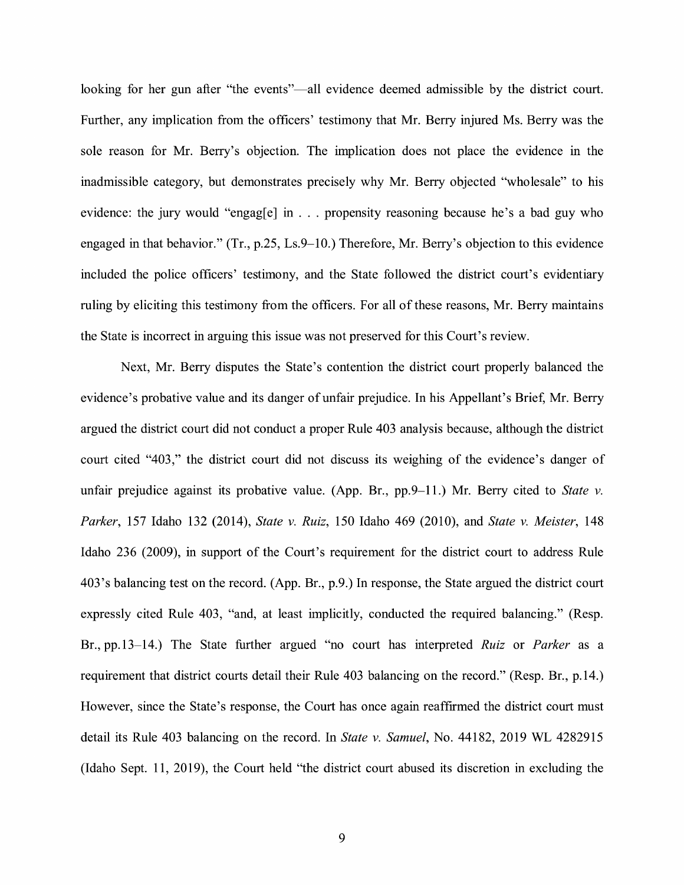looking for her gun after "the events"—all evidence deemed admissible by the district court. Further, any implication from the officers' testimony that Mr. Berry injured Ms. Berry was the sole reason for Mr. Berry's objection. The implication does not place the evidence in the inadmissible category, but demonstrates precisely why Mr. Berry objected "wholesale" to his evidence: the jury would "engag[e] in . . . propensity reasoning because he's a bad guy who engaged in that behavior." (Tr., p.25, Ls.9–10.) Therefore, Mr. Berry's objection to this evidence included the police officers' testimony, and the State followed the district court's evidentiary ruling by eliciting this testimony from the officers. For all of these reasons, Mr. Berry maintains the State is incorrect in arguing this issue was not preserved for this Court's review.

Next, Mr. Berry disputes the State's contention the district court properly balanced the evidence's probative value and its danger of unfair prejudice. In his Appellant's Brief, Mr. Berry argued the district court did not conduct a proper Rule 403 analysis because, although the district court cited "403," the district court did not discuss its weighing of the evidence's danger of unfair prejudice against its probative value. (App. Br., pp.9–11.) Mr. Berry cited to *State v*. *Parker,* 157 Idaho 132 (2014), *State v. Ruiz,* 150 Idaho 469 (2010), and *State v. Meister,* 148 Idaho 236 (2009), in support of the Court's requirement for the district court to address Rule 403 's balancing test on the record. (App. Br., p.9.) In response, the State argued the district court expressly cited Rule 403, "and, at least implicitly, conducted the required balancing." (Resp. Br., pp.13-14.) The State further argued "no court has interpreted *Ruiz* or *Parker* as a requirement that district courts detail their Rule 403 balancing on the record." (Resp. Br., p.14.) However, since the State's response, the Court has once again reaffirmed the district court must detail its Rule 403 balancing on the record. In *State v. Samuel,* No. 44182, 2019 WL 4282915 (Idaho Sept. 11, 2019), the Court held "the district court abused its discretion in excluding the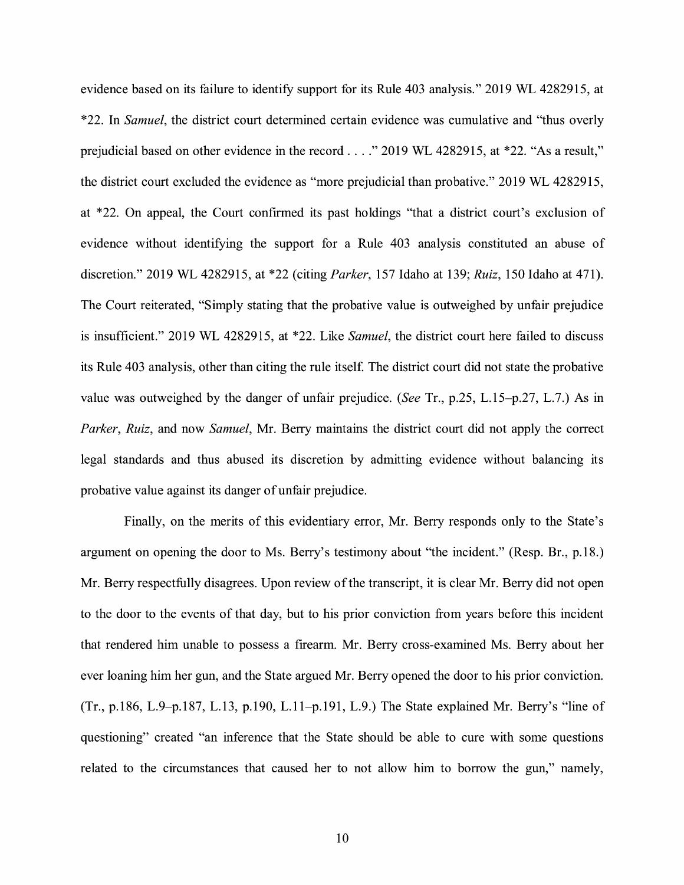evidence based on its failure to identify support for its Rule 403 analysis." 2019 WL 4282915, at \*22. In *Samuel,* the district court determined certain evidence was cumulative and "thus overly prejudicial based on other evidence in the record .... " 2019 WL 4282915, at \*22. "As a result," the district court excluded the evidence as "more prejudicial than probative." 2019 WL 4282915, at \*22. On appeal, the Court confirmed its past holdings "that a district court's exclusion of evidence without identifying the support for a Rule 403 analysis constituted an abuse of discretion." 2019 WL 4282915, at \*22 (citing *Parker,* 157 Idaho at 139; *Ruiz,* 150 Idaho at 471). The Court reiterated, "Simply stating that the probative value is outweighed by unfair prejudice is insufficient." 2019 WL 4282915, at \*22. Like *Samuel,* the district court here failed to discuss its Rule 403 analysis, other than citing the rule itself. The district court did not state the probative value was outweighed by the danger of unfair prejudice. *(See* Tr., p.25, L.15-p.27, L.7.) As in *Parker, Ruiz,* and now *Samuel,* Mr. Berry maintains the district court did not apply the correct legal standards and thus abused its discretion by admitting evidence without balancing its probative value against its danger of unfair prejudice.

Finally, on the merits of this evidentiary error, Mr. Berry responds only to the State's argument on opening the door to Ms. Berry's testimony about "the incident." (Resp. Br., p.18.) Mr. Berry respectfully disagrees. Upon review of the transcript, it is clear Mr. Berry did not open to the door to the events of that day, but to his prior conviction from years before this incident that rendered him unable to possess a firearm. Mr. Berry cross-examined Ms. Berry about her ever loaning him her gun, and the State argued Mr. Berry opened the door to his prior conviction. (Tr., p.186, L.9-p.187, L.13, p.190, L.l 1-p.191, L.9.) The State explained Mr. Berry's "line of questioning" created "an inference that the State should be able to cure with some questions related to the circumstances that caused her to not allow him to borrow the gun," namely,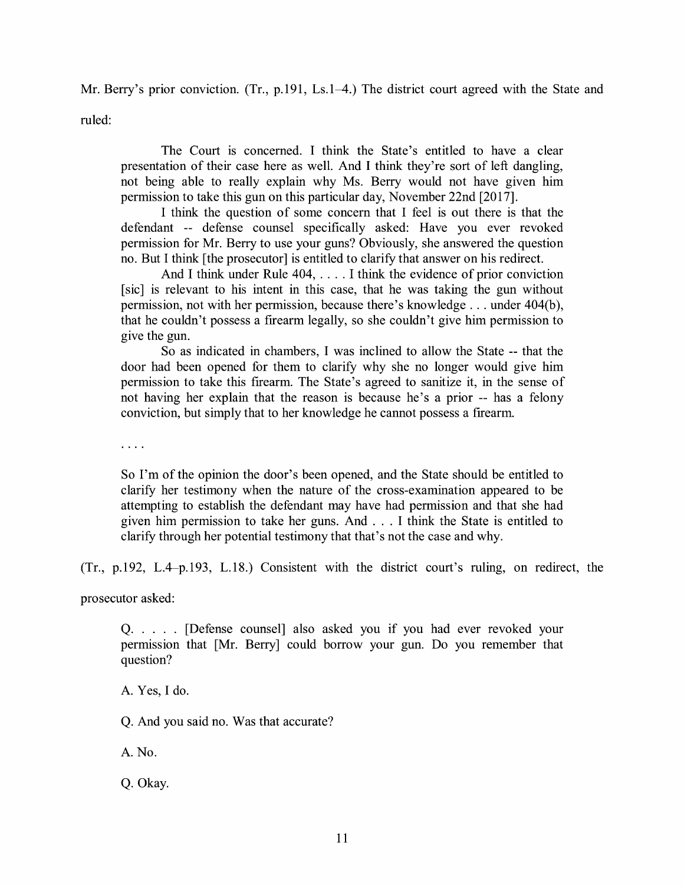Mr. Berry's prior conviction. (Tr., p.191, Ls.1–4.) The district court agreed with the State and

ruled:

The Court is concerned. I think the State's entitled to have a clear presentation of their case here as well. And I think they're sort of left dangling, not being able to really explain why Ms. Berry would not have given him permission to take this gun on this particular day, November 22nd [2017].

I think the question of some concern that I feel is out there is that the defendant -- defense counsel specifically asked: Have you ever revoked permission for Mr. Berry to use your guns? Obviously, she answered the question no. But I think [the prosecutor] is entitled to clarify that answer on his redirect.

And I think under Rule 404, .... I think the evidence of prior conviction [sic] is relevant to his intent in this case, that he was taking the gun without permission, not with her permission, because there's knowledge . . . under 404(b), that he couldn't possess a firearm legally, so she couldn't give him permission to give the gun.

So as indicated in chambers, I was inclined to allow the State -- that the door had been opened for them to clarify why she no longer would give him permission to take this firearm. The State's agreed to sanitize it, in the sense of not having her explain that the reason is because he's a prior -- has a felony conviction, but simply that to her knowledge he cannot possess a firearm.

 $\cdots$ 

So I'm of the opinion the door's been opened, and the State should be entitled to clarify her testimony when the nature of the cross-examination appeared to be attempting to establish the defendant may have had permission and that she had given him permission to take her guns. And ... I think the State is entitled to clarify through her potential testimony that that's not the case and why.

(Tr., p.192, L.4-p.193, L.18.) Consistent with the district court's ruling, on redirect, the

prosecutor asked:

Q..... [Defense counsel] also asked you if you had ever revoked your permission that [Mr. Berry] could borrow your gun. Do you remember that question?

A. Yes, I do.

Q. And you said no. Was that accurate?

A. No.

Q. Okay.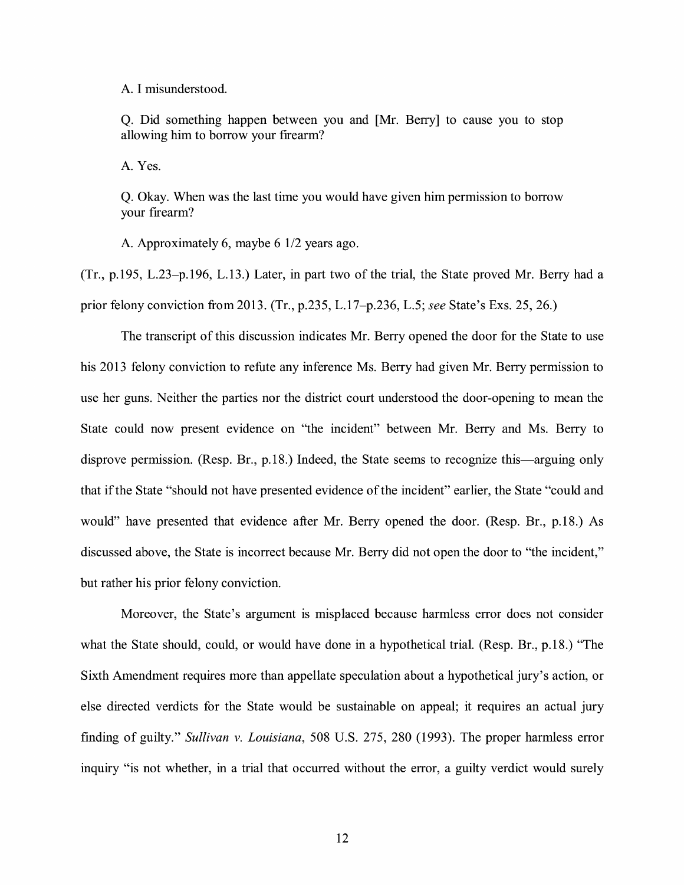A. I misunderstood.

Q. Did something happen between you and [Mr. Berry] to cause you to stop allowing him to borrow your firearm?

A. Yes.

Q. Okay. When was the last time you would have given him permission to borrow your firearm?

A. Approximately 6, maybe 6 1/2 years ago.

(Tr., p.195, L.23-p.196, L.13.) Later, in part two of the trial, the State proved Mr. Berry had a prior felony conviction from 2013. (Tr., p.235, L. l 7-p.236, L.5; *see* State's Exs. 25, 26.)

The transcript of this discussion indicates Mr. Berry opened the door for the State to use his 2013 felony conviction to refute any inference Ms. Berry had given Mr. Berry permission to use her guns. Neither the parties nor the district court understood the door-opening to mean the State could now present evidence on "the incident" between Mr. Berry and Ms. Berry to disprove permission. (Resp. Br., p.18.) Indeed, the State seems to recognize this—arguing only that if the State "should not have presented evidence of the incident" earlier, the State "could and would" have presented that evidence after Mr. Berry opened the door. (Resp. Br., p.18.) As discussed above, the State is incorrect because Mr. Berry did not open the door to "the incident," but rather his prior felony conviction.

Moreover, the State's argument is misplaced because harmless error does not consider what the State should, could, or would have done in a hypothetical trial. (Resp. Br., p.18.) "The Sixth Amendment requires more than appellate speculation about a hypothetical jury's action, or else directed verdicts for the State would be sustainable on appeal; it requires an actual jury finding of guilty." *Sullivan v. Louisiana,* 508 U.S. 275, 280 (1993). The proper harmless error inquiry "is not whether, in a trial that occurred without the error, a guilty verdict would surely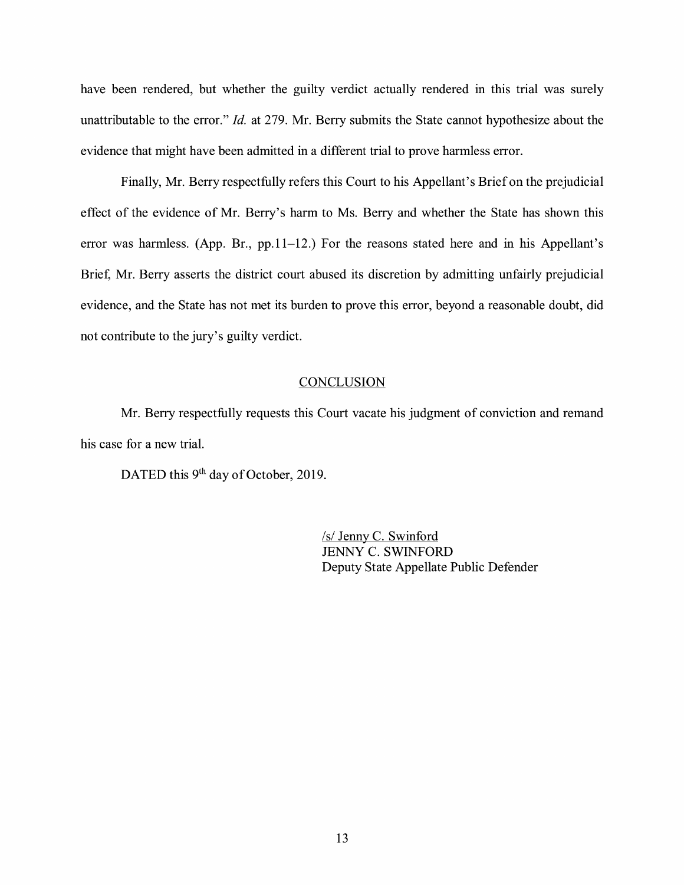have been rendered, but whether the guilty verdict actually rendered in this trial was surely unattributable to the error." *Id.* at 279. Mr. Berry submits the State cannot hypothesize about the evidence that might have been admitted in a different trial to prove harmless error.

Finally, Mr. Berry respectfully refers this Court to his Appellant's Brief on the prejudicial effect of the evidence of Mr. Berry's harm to Ms. Berry and whether the State has shown this error was harmless. (App. Br.,  $pp.11-12$ .) For the reasons stated here and in his Appellant's Brief, Mr. Berry asserts the district court abused its discretion by admitting unfairly prejudicial evidence, and the State has not met its burden to prove this error, beyond a reasonable doubt, did not contribute to the jury's guilty verdict.

#### **CONCLUSION**

Mr. Berry respectfully requests this Court vacate his judgment of conviction and remand his case for a new trial.

DATED this 9<sup>th</sup> day of October, 2019.

/s/ Jenny C. Swinford JENNY C. SWINFORD Deputy State Appellate Public Defender